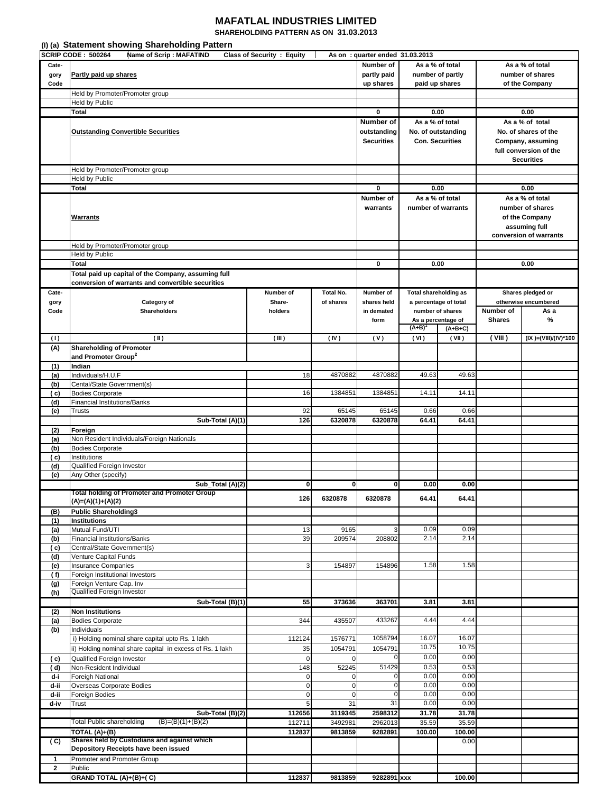## **MAFATLAL INDUSTRIES LIMITED**

**SHAREHOLDING PATTERN AS ON 31.03.2013**

|              | (I) (a) Statement showing Shareholding Pattern                                                           |                                   |                          |                                                                    |                 |                                              |                                                                                                  |                                                                                                             |  |
|--------------|----------------------------------------------------------------------------------------------------------|-----------------------------------|--------------------------|--------------------------------------------------------------------|-----------------|----------------------------------------------|--------------------------------------------------------------------------------------------------|-------------------------------------------------------------------------------------------------------------|--|
| Cate-        | SCRIP CODE: 500264<br><b>Name of Scrip: MAFATIND</b>                                                     | <b>Class of Security : Equity</b> |                          | As on: quarter ended 31.03.2013<br>Number of                       |                 | As a % of total                              |                                                                                                  | As a % of total                                                                                             |  |
| gory<br>Code | Partly paid up shares                                                                                    |                                   |                          | partly paid<br>up shares                                           |                 | number of partly<br>paid up shares           |                                                                                                  | number of shares<br>of the Company                                                                          |  |
|              | Held by Promoter/Promoter group                                                                          |                                   |                          |                                                                    |                 |                                              |                                                                                                  |                                                                                                             |  |
|              | Held by Public                                                                                           |                                   |                          |                                                                    |                 |                                              |                                                                                                  |                                                                                                             |  |
|              | Total                                                                                                    |                                   |                          | 0                                                                  |                 | 0.00                                         |                                                                                                  | 0.00                                                                                                        |  |
|              | <b>Outstanding Convertible Securities</b>                                                                |                                   |                          | Number of<br>outstanding<br><b>Securities</b>                      | As a % of total | No. of outstanding<br><b>Con. Securities</b> |                                                                                                  | As a % of total<br>No. of shares of the<br>Company, assuming<br>full conversion of the<br><b>Securities</b> |  |
|              | Held by Promoter/Promoter group                                                                          |                                   |                          |                                                                    |                 |                                              |                                                                                                  |                                                                                                             |  |
|              | <b>Held by Public</b>                                                                                    |                                   |                          |                                                                    |                 |                                              |                                                                                                  |                                                                                                             |  |
|              | Total                                                                                                    |                                   |                          | 0                                                                  |                 | 0.00                                         |                                                                                                  | 0.00                                                                                                        |  |
|              | <b>Warrants</b>                                                                                          |                                   |                          | Number of<br>warrants                                              |                 | As a % of total<br>number of warrants        | As a % of total<br>number of shares<br>of the Company<br>assuming full<br>conversion of warrants |                                                                                                             |  |
|              | Held by Promoter/Promoter group                                                                          |                                   |                          |                                                                    |                 |                                              |                                                                                                  |                                                                                                             |  |
|              | Held by Public                                                                                           |                                   |                          |                                                                    |                 |                                              |                                                                                                  |                                                                                                             |  |
|              | Total                                                                                                    |                                   |                          | 0                                                                  |                 | 0.00                                         |                                                                                                  | 0.00                                                                                                        |  |
|              | Total paid up capital of the Company, assuming full<br>conversion of warrants and convertible securities |                                   |                          |                                                                    |                 |                                              |                                                                                                  |                                                                                                             |  |
| Cate-        |                                                                                                          | Number of                         | Total No.                | Number of<br><b>Total shareholding as</b><br>a percentage of total |                 |                                              |                                                                                                  | Shares pledged or                                                                                           |  |
| gory<br>Code | Category of<br><b>Shareholders</b>                                                                       | Share-<br>holders                 | of shares                | shares held<br>in demated<br>form                                  | $(A+B)$         | number of shares<br>As a percentage of       | Number of<br><b>Shares</b>                                                                       | otherwise encumbered<br>As a<br>%                                                                           |  |
| (1)          | $(\mathbb{I})$                                                                                           | (III)                             | (IV)                     | (V)                                                                | (VI)            | $(A+B+C)$<br>(VII)                           | ( VIII )                                                                                         | (IX )=(VIII)/(IV)*100                                                                                       |  |
| (A)          | <b>Shareholding of Promoter</b>                                                                          |                                   |                          |                                                                    |                 |                                              |                                                                                                  |                                                                                                             |  |
|              | and Promoter Group <sup>2</sup>                                                                          |                                   |                          |                                                                    |                 |                                              |                                                                                                  |                                                                                                             |  |
| (1)          | Indian                                                                                                   |                                   |                          |                                                                    |                 |                                              |                                                                                                  |                                                                                                             |  |
| (a)          | Individuals/H.U.F                                                                                        | 18                                | 4870882                  | 4870882                                                            | 49.63           | 49.63                                        |                                                                                                  |                                                                                                             |  |
| (b)          | Cental/State Government(s)                                                                               |                                   |                          |                                                                    |                 |                                              |                                                                                                  |                                                                                                             |  |
| ( c)         | <b>Bodies Corporate</b>                                                                                  | 16                                | 1384851                  | 1384851                                                            | 14.11           | 14.11                                        |                                                                                                  |                                                                                                             |  |
| (d)          | Financial Institutions/Banks                                                                             |                                   |                          |                                                                    |                 |                                              |                                                                                                  |                                                                                                             |  |
| (e)          | Trusts                                                                                                   | 92<br>126                         | 65145<br>6320878         | 65145<br>6320878                                                   | 0.66<br>64.41   | 0.66<br>64.41                                |                                                                                                  |                                                                                                             |  |
| (2)          | Sub-Total (A)(1)<br>Foreign                                                                              |                                   |                          |                                                                    |                 |                                              |                                                                                                  |                                                                                                             |  |
| (a)          | Non Resident Individuals/Foreign Nationals                                                               |                                   |                          |                                                                    |                 |                                              |                                                                                                  |                                                                                                             |  |
| (b)          | <b>Bodies Corporate</b>                                                                                  |                                   |                          |                                                                    |                 |                                              |                                                                                                  |                                                                                                             |  |
| ( c)         | Institutions                                                                                             |                                   |                          |                                                                    |                 |                                              |                                                                                                  |                                                                                                             |  |
| (d)          | Qualified Foreign Investor                                                                               |                                   |                          |                                                                    |                 |                                              |                                                                                                  |                                                                                                             |  |
| (e)          | Any Other (specify)                                                                                      |                                   |                          |                                                                    |                 |                                              |                                                                                                  |                                                                                                             |  |
|              | Sub_Total (A)(2)<br>Total holding of Promoter and Promoter Group                                         | $\mathbf{0}$                      | $\mathbf{0}$             | $\mathbf{0}$                                                       | 0.00            | 0.00                                         |                                                                                                  |                                                                                                             |  |
|              | (A)=(A)(1)+(A)(2)                                                                                        | 126                               | 6320878                  | 6320878                                                            | 64.41           | 64.41                                        |                                                                                                  |                                                                                                             |  |
| (B)          | <b>Public Shareholding3</b>                                                                              |                                   |                          |                                                                    |                 |                                              |                                                                                                  |                                                                                                             |  |
| (1)          | <b>Institutions</b>                                                                                      |                                   |                          |                                                                    |                 |                                              |                                                                                                  |                                                                                                             |  |
| (a)          | Mutual Fund/UTI                                                                                          | 13                                | 9165                     | 3                                                                  | 0.09            | 0.09                                         |                                                                                                  |                                                                                                             |  |
| (b)          | <b>Financial Institutions/Banks</b>                                                                      | 39                                | 209574                   | 208802                                                             | 2.14            | 2.14                                         |                                                                                                  |                                                                                                             |  |
| ( c)<br>(d)  | Central/State Government(s)<br>Venture Capital Funds                                                     |                                   |                          |                                                                    |                 |                                              |                                                                                                  |                                                                                                             |  |
| (e)          | <b>Insurance Companies</b>                                                                               | 3                                 | 154897                   | 154896                                                             | 1.58            | 1.58                                         |                                                                                                  |                                                                                                             |  |
| (f)          | Foreign Institutional Investors                                                                          |                                   |                          |                                                                    |                 |                                              |                                                                                                  |                                                                                                             |  |
| (g)          | Foreign Venture Cap. Inv                                                                                 |                                   |                          |                                                                    |                 |                                              |                                                                                                  |                                                                                                             |  |
| (h)          | Qualified Foreign Investor                                                                               |                                   |                          |                                                                    |                 |                                              |                                                                                                  |                                                                                                             |  |
|              | Sub-Total (B)(1)                                                                                         | 55                                | 373636                   | 363701                                                             | 3.81            | 3.81                                         |                                                                                                  |                                                                                                             |  |
| (2)<br>(a)   | <b>Non Institutions</b><br><b>Bodies Corporate</b>                                                       | 344                               | 435507                   | 433267                                                             | 4.44            | 4.44                                         |                                                                                                  |                                                                                                             |  |
| (b)          | Individuals                                                                                              |                                   |                          |                                                                    |                 |                                              |                                                                                                  |                                                                                                             |  |
|              | i) Holding nominal share capital upto Rs. 1 lakh                                                         | 112124                            | 1576771                  | 1058794                                                            | 16.07           | 16.07                                        |                                                                                                  |                                                                                                             |  |
|              | ii) Holding nominal share capital in excess of Rs. 1 lakh                                                | 35                                | 1054791                  | 1054791                                                            | 10.75           | 10.75                                        |                                                                                                  |                                                                                                             |  |
| (c)          | Qualified Foreign Investor                                                                               | $\mathbf 0$                       | 0                        | 0                                                                  | 0.00            | 0.00                                         |                                                                                                  |                                                                                                             |  |
| (d)          | Non-Resident Individual                                                                                  | 148                               | 52245                    | 51429                                                              | 0.53            | 0.53                                         |                                                                                                  |                                                                                                             |  |
| d-i          | <b>Foreigh National</b>                                                                                  | $\mathbf 0$                       | 0                        | 0                                                                  | 0.00            | 0.00                                         |                                                                                                  |                                                                                                             |  |
| d-ii<br>d-ii | Overseas Corporate Bodies<br>Foreign Bodies                                                              | $\pmb{0}$<br>$\pmb{0}$            | $\pmb{0}$<br>$\mathbf 0$ | $\mathbf 0$<br>0                                                   | 0.00<br>0.00    | 0.00<br>0.00                                 |                                                                                                  |                                                                                                             |  |
| d-iv         | Trust                                                                                                    | 5                                 | 31                       | 31                                                                 | 0.00            | 0.00                                         |                                                                                                  |                                                                                                             |  |
|              | Sub-Total (B)(2)                                                                                         | 112656                            | 3119345                  | 2598312                                                            | 31.78           | 31.78                                        |                                                                                                  |                                                                                                             |  |
|              | Total Public shareholding<br>$(B)=(B)(1)+(B)(2)$                                                         | 112711                            | 3492981                  | 2962013                                                            | 35.59           | 35.59                                        |                                                                                                  |                                                                                                             |  |
|              | TOTAL (A)+(B)                                                                                            | 112837                            | 9813859                  | 9282891                                                            | 100.00          | 100.00                                       |                                                                                                  |                                                                                                             |  |
| (C)          | Shares held by Custodians and against which<br>Depository Receipts have been issued                      |                                   |                          |                                                                    |                 | 0.00                                         |                                                                                                  |                                                                                                             |  |
| $\mathbf{1}$ | Promoter and Promoter Group                                                                              |                                   |                          |                                                                    |                 |                                              |                                                                                                  |                                                                                                             |  |
| $\mathbf{2}$ | Public                                                                                                   |                                   |                          |                                                                    |                 |                                              |                                                                                                  |                                                                                                             |  |
|              | GRAND TOTAL (A)+(B)+(C)                                                                                  | 112837                            | 9813859                  | 9282891 xxx                                                        |                 | 100.00                                       |                                                                                                  |                                                                                                             |  |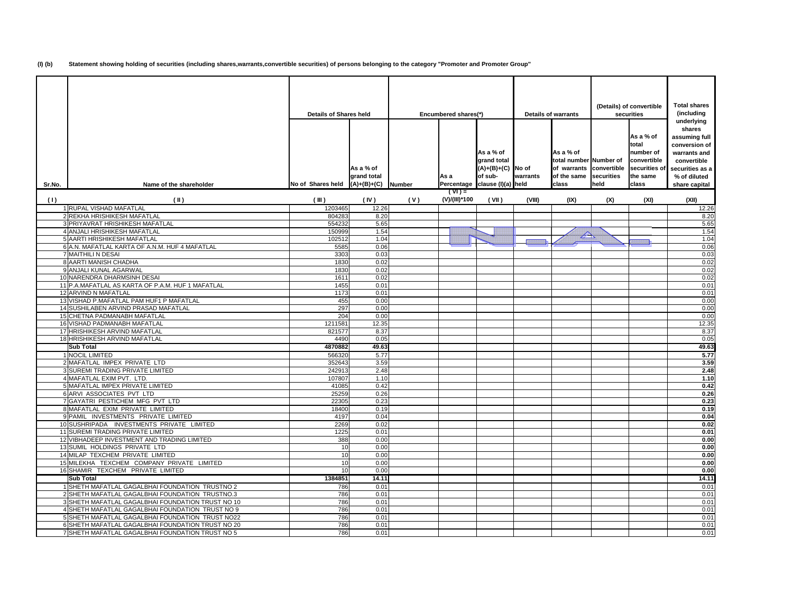**(I) (b) Statement showing holding of securities (including shares,warrants,convertible securities) of persons belonging to the category "Promoter and Promoter Group"**

|        |                                                                                | <b>Details of Shares held</b> |                                           | Encumbered shares(*) |                           | <b>Details of warrants</b>                                                                  |          | (Details) of convertible<br>securities                                                 |                    | <b>Total shares</b><br>(including<br>underlying<br>shares                            |                                                                                                                   |
|--------|--------------------------------------------------------------------------------|-------------------------------|-------------------------------------------|----------------------|---------------------------|---------------------------------------------------------------------------------------------|----------|----------------------------------------------------------------------------------------|--------------------|--------------------------------------------------------------------------------------|-------------------------------------------------------------------------------------------------------------------|
| Sr.No. | Name of the shareholder                                                        | No of Shares held             | As a % of<br>grand total<br>$(A)+(B)+(C)$ | <b>Number</b>        | As a                      | As a % of<br>grand total<br>$(A)+(B)+(C)$ No of<br>of sub-<br>Percentage clause (I)(a) held | warrants | As a % of<br>total number Number of<br>of warrants convertible<br>of the same<br>class | securities<br>held | As a % of<br>total<br>number of<br>convertible<br>securities of<br>the same<br>class | assuming full<br>conversion of<br>warrants and<br>convertible<br>securities as a<br>% of diluted<br>share capital |
| (1)    | $(\parallel)$                                                                  | (III)                         | (IV)                                      | (V)                  | $(TV) =$<br>(V)/(III)*100 | (VII)                                                                                       | (VIII)   | (IX)                                                                                   | (X)                | (XI)                                                                                 | (XII)                                                                                                             |
|        | 1 RUPAL VISHAD MAFATLAL                                                        | 1203465                       | 12.26                                     |                      |                           |                                                                                             |          |                                                                                        |                    |                                                                                      | 12.26                                                                                                             |
|        | 2 REKHA HRISHIKESH MAFATLAL                                                    | 804283                        | 8.20                                      |                      |                           |                                                                                             |          |                                                                                        |                    |                                                                                      | 8.20                                                                                                              |
|        | 3 PRIYAVRAT HRISHIKESH MAFATLAL                                                | 554232                        | 5.65                                      |                      |                           |                                                                                             |          |                                                                                        |                    |                                                                                      | 5.65                                                                                                              |
|        | 4 ANJALI HRISHIKESH MAFATLAL                                                   | 150999                        | 1.54                                      |                      |                           |                                                                                             |          |                                                                                        |                    |                                                                                      | 1.54                                                                                                              |
|        | 5 AARTI HRISHIKESH MAFATLAL                                                    | 102512                        | 1.04                                      |                      |                           |                                                                                             |          | $\triangle$                                                                            |                    |                                                                                      | 1.04                                                                                                              |
|        | 6 A.N. MAFATLAL KARTA OF A.N.M. HUF 4 MAFATLAL                                 | 5585                          | 0.06                                      |                      |                           |                                                                                             |          |                                                                                        |                    |                                                                                      | 0.06                                                                                                              |
|        | 7 MAITHILI N DESAI                                                             | 3303                          | 0.03                                      |                      |                           |                                                                                             |          |                                                                                        |                    |                                                                                      | 0.03                                                                                                              |
|        | 8 AARTI MANISH CHADHA                                                          | 1830                          | 0.02                                      |                      |                           |                                                                                             |          |                                                                                        |                    |                                                                                      | 0.02                                                                                                              |
|        | 9 ANJALI KUNAL AGARWAL                                                         | 1830                          | 0.02                                      |                      |                           |                                                                                             |          |                                                                                        |                    |                                                                                      | 0.02                                                                                                              |
|        | 10 NARENDRA DHARMSINH DESAI                                                    | 1611                          | 0.02                                      |                      |                           |                                                                                             |          |                                                                                        |                    |                                                                                      | 0.02                                                                                                              |
|        | 11 P.A.MAFATLAL AS KARTA OF P.A.M. HUF 1 MAFATLAL                              | 1455                          | 0.01                                      |                      |                           |                                                                                             |          |                                                                                        |                    |                                                                                      | 0.01                                                                                                              |
|        | 12 ARVIND N MAFATLAL                                                           | 1173                          | 0.01                                      |                      |                           |                                                                                             |          |                                                                                        |                    |                                                                                      | 0.01                                                                                                              |
|        | 13 VISHAD P.MAFATLAL PAM HUF1 P MAFATLAL                                       | 455                           | 0.00                                      |                      |                           |                                                                                             |          |                                                                                        |                    |                                                                                      | 0.00                                                                                                              |
|        | 14 SUSHILABEN ARVIND PRASAD MAFATLAL<br>15 CHETNA PADMANABH MAFATLAL           | 297                           | 0.00                                      |                      |                           |                                                                                             |          |                                                                                        |                    |                                                                                      | 0.00                                                                                                              |
|        | 16 VISHAD PADMANABH MAFATLAL                                                   | 204<br>121158                 | 0.00<br>12.35                             |                      |                           |                                                                                             |          |                                                                                        |                    |                                                                                      | 0.00<br>12.35                                                                                                     |
|        | 17 HRISHIKESH ARVIND MAFATLAL                                                  | 821577                        | 8.37                                      |                      |                           |                                                                                             |          |                                                                                        |                    |                                                                                      | 8.37                                                                                                              |
|        | 18 HRISHIKESH ARVIND MAFATLAL                                                  | 4490                          | 0.05                                      |                      |                           |                                                                                             |          |                                                                                        |                    |                                                                                      | 0.05                                                                                                              |
|        | <b>Sub Total</b>                                                               | 4870882                       | 49.63                                     |                      |                           |                                                                                             |          |                                                                                        |                    |                                                                                      | 49.63                                                                                                             |
|        | 1 NOCIL LIMITED                                                                | 566320                        | 5.77                                      |                      |                           |                                                                                             |          |                                                                                        |                    |                                                                                      | 5.77                                                                                                              |
|        | 2 MAFATLAL IMPEX PRIVATE LTD                                                   | 352643                        | 3.59                                      |                      |                           |                                                                                             |          |                                                                                        |                    |                                                                                      | 3.59                                                                                                              |
|        | 3 SUREMI TRADING PRIVATE LIMITED                                               | 242913                        | 2.48                                      |                      |                           |                                                                                             |          |                                                                                        |                    |                                                                                      | 2.48                                                                                                              |
|        | 4 MAFATLAL EXIM PVT. LTD.                                                      | 107807                        | 1.10                                      |                      |                           |                                                                                             |          |                                                                                        |                    |                                                                                      | 1.10                                                                                                              |
|        | 5 MAFATLAL IMPEX PRIVATE LIMITED                                               | 41085                         | 0.42                                      |                      |                           |                                                                                             |          |                                                                                        |                    |                                                                                      | 0.42                                                                                                              |
|        | <b>6 ARVI ASSOCIATES PVT LTD</b>                                               | 25259                         | 0.26                                      |                      |                           |                                                                                             |          |                                                                                        |                    |                                                                                      | 0.26                                                                                                              |
|        | 7 GAYATRI PESTICHEM MFG PVT LTD                                                | 22305                         | 0.23                                      |                      |                           |                                                                                             |          |                                                                                        |                    |                                                                                      | 0.23                                                                                                              |
|        | 8 MAFATLAL EXIM PRIVATE LIMITED                                                | 18400                         | 0.19                                      |                      |                           |                                                                                             |          |                                                                                        |                    |                                                                                      | 0.19                                                                                                              |
|        | 9 PAMIL INVESTMENTS PRIVATE LIMITED                                            | 4197                          | 0.04                                      |                      |                           |                                                                                             |          |                                                                                        |                    |                                                                                      | 0.04                                                                                                              |
|        | 10 SUSHRIPADA INVESTMENTS PRIVATE LIMITED                                      | 2269                          | 0.02                                      |                      |                           |                                                                                             |          |                                                                                        |                    |                                                                                      | 0.02                                                                                                              |
|        | 11 SUREMI TRADING PRIVATE LIMITED                                              | 1225                          | 0.01                                      |                      |                           |                                                                                             |          |                                                                                        |                    |                                                                                      | 0.01                                                                                                              |
|        | 12 VIBHADEEP INVESTMENT AND TRADING LIMITED                                    | 388                           | 0.00                                      |                      |                           |                                                                                             |          |                                                                                        |                    |                                                                                      | 0.00                                                                                                              |
|        | 13 SUMIL HOLDINGS PRIVATE LTD                                                  | 10                            | 0.00                                      |                      |                           |                                                                                             |          |                                                                                        |                    |                                                                                      | 0.00                                                                                                              |
|        | 14 MILAP TEXCHEM PRIVATE LIMITED<br>15 MILEKHA TEXCHEM COMPANY PRIVATE LIMITED | 10<br>10                      | 0.00<br>0.00                              |                      |                           |                                                                                             |          |                                                                                        |                    |                                                                                      | 0.00<br>0.00                                                                                                      |
|        | 16 SHAMIR TEXCHEM PRIVATE LIMITED                                              | 10                            | 0.00                                      |                      |                           |                                                                                             |          |                                                                                        |                    |                                                                                      | 0.00                                                                                                              |
|        | <b>Sub Total</b>                                                               | 1384851                       | 14.11                                     |                      |                           |                                                                                             |          |                                                                                        |                    |                                                                                      | 14.11                                                                                                             |
|        | 1 SHETH MAFATLAL GAGALBHAI FOUNDATION TRUSTNO 2                                | 786                           | 0.01                                      |                      |                           |                                                                                             |          |                                                                                        |                    |                                                                                      | 0.01                                                                                                              |
|        | 2 SHETH MAFATLAL GAGALBHAI FOUNDATION TRUSTNO.3                                | 786                           | 0.01                                      |                      |                           |                                                                                             |          |                                                                                        |                    |                                                                                      | 0.01                                                                                                              |
|        | 3 SHETH MAFATLAL GAGALBHAI FOUNDATION TRUST NO 10                              | 786                           | 0.01                                      |                      |                           |                                                                                             |          |                                                                                        |                    |                                                                                      | 0.01                                                                                                              |
|        | 4 SHETH MAFATLAL GAGALBHAI FOUNDATION TRUST NO 9                               | 786                           | 0.01                                      |                      |                           |                                                                                             |          |                                                                                        |                    |                                                                                      | 0.01                                                                                                              |
|        | 5 SHETH MAFATLAL GAGALBHAI FOUNDATION TRUST NO22                               | 786                           | 0.01                                      |                      |                           |                                                                                             |          |                                                                                        |                    |                                                                                      | 0.01                                                                                                              |
|        | 6 SHETH MAFATLAL GAGALBHAI FOUNDATION TRUST NO 20                              | 786                           | 0.01                                      |                      |                           |                                                                                             |          |                                                                                        |                    |                                                                                      | 0.01                                                                                                              |
|        | 7 SHETH MAFATLAL GAGALBHAI FOUNDATION TRUST NO 5                               | 786                           | 0.01                                      |                      |                           |                                                                                             |          |                                                                                        |                    |                                                                                      | 0.01                                                                                                              |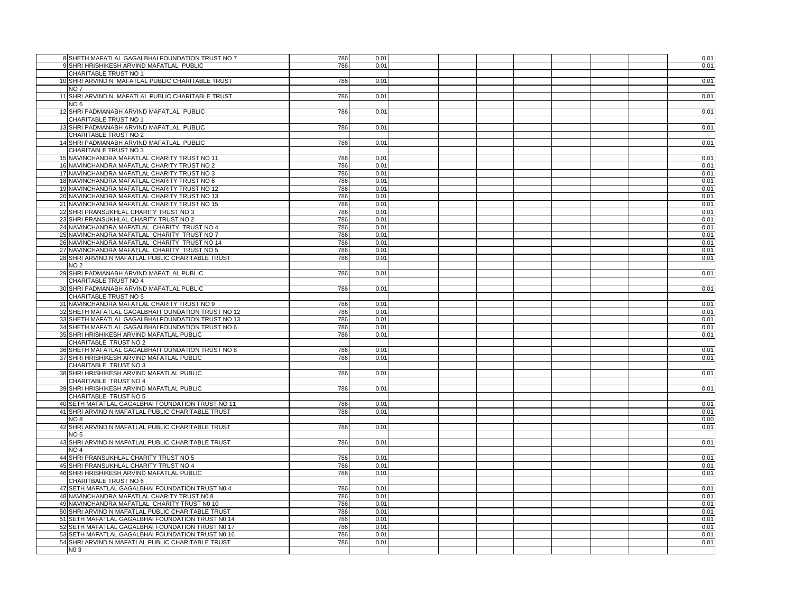| 8 SHETH MAFATLAL GAGALBHAI FOUNDATION TRUST NO 7                                                       | 786        | 0.01         |  |  |  | 0.01         |
|--------------------------------------------------------------------------------------------------------|------------|--------------|--|--|--|--------------|
| 9 SHRI HRISHIKESH ARVIND MAFATLAL PUBLIC                                                               | 786        | 0.01         |  |  |  | 0.01         |
| CHARITABLE TRUST NO 1                                                                                  |            |              |  |  |  |              |
| 10 SHRI ARVIND N MAFATLAL PUBLIC CHARITABLE TRUST                                                      | 786        | 0.01         |  |  |  |              |
|                                                                                                        |            |              |  |  |  | 0.01         |
| NO <sub>7</sub>                                                                                        |            |              |  |  |  |              |
| 11 SHRI ARVIND N MAFATLAL PUBLIC CHARITABLE TRUST                                                      | 786        | 0.01         |  |  |  | 0.01         |
| NO 6                                                                                                   |            |              |  |  |  |              |
| 12 SHRI PADMANABH ARVIND MAFATLAL PUBLIC                                                               | 786        | 0.01         |  |  |  | 0.01         |
| CHARITABLE TRUST NO 1                                                                                  |            |              |  |  |  |              |
| 13 SHRI PADMANABH ARVIND MAFATLAL PUBLIC                                                               | 786        | 0.01         |  |  |  | 0.01         |
| <b>CHARITABLE TRUST NO 2</b>                                                                           |            |              |  |  |  |              |
| 14 SHRI PADMANABH ARVIND MAFATLAL PUBLIC                                                               | 786        | 0.01         |  |  |  | 0.01         |
| CHARITABLE TRUST NO 3                                                                                  |            |              |  |  |  |              |
| 15 NAVINCHANDRA MAFATLAL CHARITY TRUST NO 11                                                           | 786        | 0.01         |  |  |  | 0.01         |
| 16 NAVINCHANDRA MAFATLAL CHARITY TRUST NO 2                                                            | 786        | 0.01         |  |  |  | 0.01         |
| 17 NAVINCHANDRA MAFATLAL CHARITY TRUST NO 3                                                            | 786        | 0.01         |  |  |  | 0.01         |
| 18 NAVINCHANDRA MAFATLAL CHARITY TRUST NO 6                                                            | 786        | 0.01         |  |  |  | 0.01         |
| 19 NAVINCHANDRA MAFATLAL CHARITY TRUST NO 12                                                           | 786        | 0.01         |  |  |  | 0.01         |
| 20 NAVINCHANDRA MAFATLAL CHARITY TRUST NO 13                                                           | 786        | 0.01         |  |  |  | 0.01         |
| 21 NAVINCHANDRA MAFATLAL CHARITY TRUST NO 15                                                           | 786        | 0.01         |  |  |  | 0.01         |
| 22 SHRI PRANSUKHLAL CHARITY TRUST NO 3                                                                 | 786        | 0.01         |  |  |  | 0.01         |
| 23 SHRI PRANSUKHLAL CHARITY TRUST NO 2                                                                 | 786        | 0.01         |  |  |  | 0.01         |
| 24 NAVINCHANDRA MAFATLAL CHARITY TRUST NO 4                                                            | 786        | 0.01         |  |  |  | 0.01         |
| 25 NAVINCHANDRA MAFATLAL CHARITY TRUST NO 7                                                            | 786        | 0.01         |  |  |  | 0.01         |
|                                                                                                        | 786        | 0.01         |  |  |  |              |
| 26 NAVINCHANDRA MAFATLAL CHARITY TRUST NO 14                                                           |            |              |  |  |  | 0.01         |
| 27 NAVINCHANDRA MAFATLAL CHARITY TRUST NO 5                                                            | 786        | 0.01         |  |  |  | 0.01         |
| 28 SHRI ARVIND N MAFATLAL PUBLIC CHARITABLE TRUST                                                      | 786        | 0.01         |  |  |  | 0.01         |
| NO 2                                                                                                   |            |              |  |  |  |              |
| 29 SHRI PADMANABH ARVIND MAFATLAL PUBLIC                                                               | 786        | 0.01         |  |  |  | 0.01         |
| CHARITABLE TRUST NO 4                                                                                  |            |              |  |  |  |              |
| 30 SHRI PADMANABH ARVIND MAFATLAL PUBLIC                                                               | 786        | 0.01         |  |  |  | 0.01         |
| CHARITABLE TRUST NO 5                                                                                  |            |              |  |  |  |              |
| 31 NAVINCHANDRA MAFATLAL CHARITY TRUST NO 9                                                            | 786        | 0.01         |  |  |  | 0.01         |
| 32 SHETH MAFATLAL GAGALBHAI FOUNDATION TRUST NO 12                                                     | 786        | 0.01         |  |  |  | 0.01         |
| 33 SHETH MAFATLAL GAGALBHAI FOUNDATION TRUST NO 13                                                     | 786        | 0.01         |  |  |  | 0.01         |
| 34 SHETH MAFATLAL GAGALBHAI FOUNDATION TRUST NO 6                                                      | 786        | 0.01         |  |  |  | 0.01         |
| 35 SHRI HRISHIKESH ARVIND MAFATLAL PUBLIC                                                              | 786        | 0.01         |  |  |  | 0.01         |
| CHARITABLE TRUST NO 2                                                                                  |            |              |  |  |  |              |
| 36 SHETH MAFATLAL GAGALBHAI FOUNDATION TRUST NO 8                                                      | 786        | 0.01         |  |  |  | 0.01         |
| 37 SHRI HRISHIKESH ARVIND MAFATLAL PUBLIC                                                              | 786        | 0.01         |  |  |  | 0.01         |
| CHARITABLE TRUST NO 3                                                                                  |            |              |  |  |  |              |
| 38 SHRI HRISHIKESH ARVIND MAFATLAL PUBLIC                                                              | 786        | 0.01         |  |  |  | 0.01         |
| CHARITABLE TRUST NO 4                                                                                  |            |              |  |  |  |              |
| 39 SHRI HRISHIKESH ARVIND MAFATLAL PUBLIC                                                              | 786        | 0.01         |  |  |  | 0.01         |
| CHARITABLE TRUST NO 5                                                                                  |            |              |  |  |  |              |
| 40 SETH MAFATLAL GAGALBHAI FOUNDATION TRUST NO 11                                                      | 786        | 0.01         |  |  |  | 0.01         |
| 41 SHRI ARVIND N MAFATLAL PUBLIC CHARITABLE TRUST                                                      | 786        | 0.01         |  |  |  | 0.01         |
| NO <sub>8</sub>                                                                                        |            |              |  |  |  | 0.00         |
| 42 SHRI ARVIND N MAFATLAL PUBLIC CHARITABLE TRUST                                                      | 786        | 0.01         |  |  |  | 0.01         |
| NO 5                                                                                                   |            |              |  |  |  |              |
| 43 SHRI ARVIND N MAFATLAL PUBLIC CHARITABLE TRUST                                                      | 786        | 0.01         |  |  |  | 0.01         |
| NO 4                                                                                                   |            |              |  |  |  |              |
| 44 SHRI PRANSUKHLAL CHARITY TRUST NO 5                                                                 | 786        | 0.01         |  |  |  | 0.01         |
| 45 SHRI PRANSUKHLAL CHARITY TRUST NO 4                                                                 | 786        | 0.01         |  |  |  | 0.01         |
| 46 SHRI HRISHIKESH ARVIND MAFATLAL PUBLIC                                                              | 786        | 0.01         |  |  |  | 0.01         |
| CHARITBALE TRUST NO 6                                                                                  |            |              |  |  |  |              |
| 47 SETH MAFATLAL GAGALBHAI FOUNDATION TRUST N0.4                                                       | 786        | 0.01         |  |  |  | 0.01         |
| 48 NAVINCHANDRA MAFATLAL CHARITY TRUST N0 8                                                            | 786        | 0.01         |  |  |  | 0.01         |
| 49 NAVINCHANDRA MAFATLAL CHARITY TRUST NO 10                                                           | 786        |              |  |  |  | 0.01         |
|                                                                                                        |            | 0.01         |  |  |  |              |
| 50 SHRI ARVIND N MAFATLAL PUBLIC CHARITABLE TRUST                                                      | 786<br>786 | 0.01<br>0.01 |  |  |  | 0.01         |
| 51 SETH MAFATLAL GAGALBHAI FOUNDATION TRUST N0 14                                                      |            |              |  |  |  | 0.01         |
| 52 SETH MAFATLAL GAGALBHAI FOUNDATION TRUST N0 17<br>53 SETH MAFATLAL GAGALBHAI FOUNDATION TRUST N0 16 | 786<br>786 | 0.01<br>0.01 |  |  |  | 0.01         |
| 54 SHRI ARVIND N MAFATLAL PUBLIC CHARITABLE TRUST                                                      | 786        |              |  |  |  | 0.01<br>0.01 |
|                                                                                                        |            | 0.01         |  |  |  |              |
| NO 3                                                                                                   |            |              |  |  |  |              |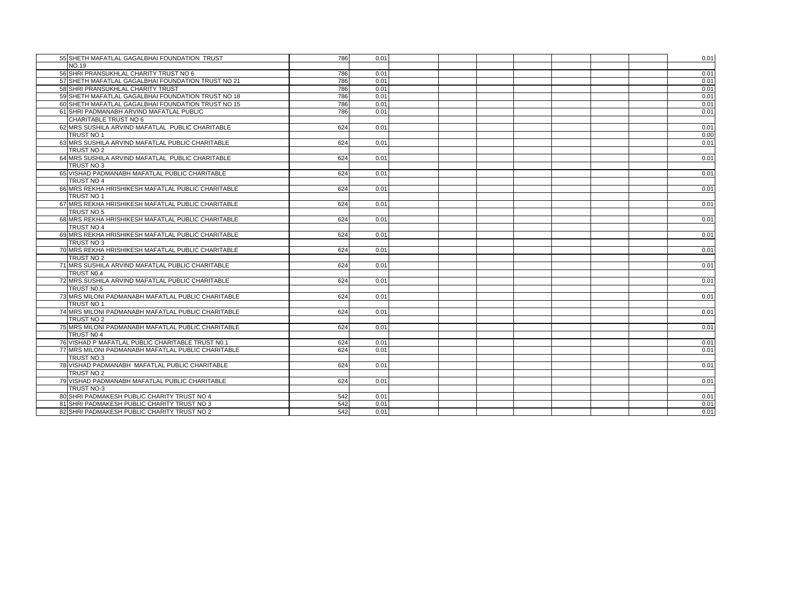| 55 SHETH MAFATLAL GAGALBHAI FOUNDATION TRUST       | 786 | 0.01 |  |  |  | 0.01 |
|----------------------------------------------------|-----|------|--|--|--|------|
| <b>NO.19</b>                                       |     |      |  |  |  |      |
| 56 SHRI PRANSUKHLAL CHARITY TRUST NO 6             | 786 | 0.01 |  |  |  | 0.01 |
| 57 SHETH MAFATLAL GAGALBHAI FOUNDATION TRUST NO 21 | 786 | 0.01 |  |  |  | 0.01 |
| 58 SHRI PRANSUKHLAL CHARITY TRUST                  | 786 | 0.01 |  |  |  | 0.01 |
| 59 SHETH MAFATLAL GAGALBHAI FOUNDATION TRUST NO 18 | 786 | 0.01 |  |  |  | 0.01 |
| 60 SHETH MAFATLAL GAGALBHAI FOUNDATION TRUST NO 15 | 786 | 0.01 |  |  |  | 0.01 |
| 61 SHRI PADMANABH ARVIND MAFATLAL PUBLIC           | 786 | 0.01 |  |  |  | 0.01 |
| CHARITABLE TRUST NO 6                              |     |      |  |  |  |      |
| 62 MRS SUSHILA ARVIND MAFATLAL PUBLIC CHARITABLE   | 624 | 0.01 |  |  |  | 0.01 |
| TRUST NO 1                                         |     |      |  |  |  | 0.00 |
| 63 MRS SUSHILA ARVIND MAFATLAL PUBLIC CHARITABLE   | 624 | 0.01 |  |  |  | 0.01 |
| TRUST NO 2                                         |     |      |  |  |  |      |
| 64 MRS SUSHILA ARVIND MAFATLAL PUBLIC CHARITABLE   | 624 | 0.01 |  |  |  | 0.01 |
| TRUST NO 3                                         |     |      |  |  |  |      |
| 65 VISHAD PADMANABH MAFATLAL PUBLIC CHARITABLE     | 624 | 0.01 |  |  |  | 0.01 |
| TRUST NO 4                                         |     |      |  |  |  |      |
| 66 MRS REKHA HRISHIKESH MAFATLAL PUBLIC CHARITABLE | 624 | 0.01 |  |  |  | 0.01 |
| TRUST NO 1                                         |     |      |  |  |  |      |
| 67 MRS REKHA HRISHIKESH MAFATLAL PUBLIC CHARITABLE | 624 | 0.01 |  |  |  | 0.01 |
| TRUST NO 5                                         |     |      |  |  |  |      |
| 68 MRS REKHA HRISHIKESH MAFATLAL PUBLIC CHARITABLE | 624 | 0.01 |  |  |  | 0.01 |
| TRUST NO 4                                         |     |      |  |  |  |      |
| 69 MRS REKHA HRISHIKESH MAFATLAL PUBLIC CHARITABLE | 624 | 0.01 |  |  |  | 0.01 |
| TRUST NO 3                                         |     |      |  |  |  |      |
| 70 MRS REKHA HRISHIKESH MAFATLAL PUBLIC CHARITABLE | 624 | 0.01 |  |  |  | 0.01 |
| TRUST NO 2                                         |     |      |  |  |  |      |
| 71 MRS SUSHILA ARVIND MAFATLAL PUBLIC CHARITABLE   | 624 | 0.01 |  |  |  | 0.01 |
| TRUST N0.4                                         |     |      |  |  |  |      |
| 72 MRS. SUSHILA ARVIND MAFATLAL PUBLIC CHARITABLE  | 624 | 0.01 |  |  |  | 0.01 |
| TRUST N0.5                                         |     |      |  |  |  |      |
| 73 MRS MILONI PADMANABH MAFATLAL PUBLIC CHARITABLE | 624 | 0.01 |  |  |  | 0.01 |
| TRUST NO 1                                         |     |      |  |  |  |      |
| 74 MRS MILONI PADMANABH MAFATLAL PUBLIC CHARITABLE | 624 | 0.01 |  |  |  | 0.01 |
| TRUST NO 2                                         |     |      |  |  |  |      |
| 75 MRS MILONI PADMANABH MAFATLAL PUBLIC CHARITABLE | 624 | 0.01 |  |  |  | 0.01 |
| TRUST NO 4                                         |     |      |  |  |  |      |
| 76 VISHAD P MAFATLAL PUBLIC CHARITABLE TRUST N0.1  | 624 | 0.01 |  |  |  | 0.01 |
| 77 MRS MILONI PADMANABH MAFATLAL PUBLIC CHARITABLE | 624 | 0.01 |  |  |  | 0.01 |
| TRUST NO.3                                         |     |      |  |  |  |      |
| 78 VISHAD PADMANABH MAFATLAL PUBLIC CHARITABLE     | 624 | 0.01 |  |  |  | 0.01 |
| TRUST NO 2                                         |     |      |  |  |  |      |
| 79 VISHAD PADMANABH MAFATLAL PUBLIC CHARITABLE     | 624 | 0.01 |  |  |  | 0.01 |
| TRUST NO-3                                         |     |      |  |  |  |      |
| 80 SHRI PADMAKESH PUBLIC CHARITY TRUST NO 4        | 542 | 0.01 |  |  |  | 0.01 |
| 81 SHRI PADMAKESH PUBLIC CHARITY TRUST NO 3        | 542 | 0.01 |  |  |  | 0.01 |
| 82 SHRI PADMAKESH PUBLIC CHARITY TRUST NO 2        | 542 | 0.01 |  |  |  | 0.01 |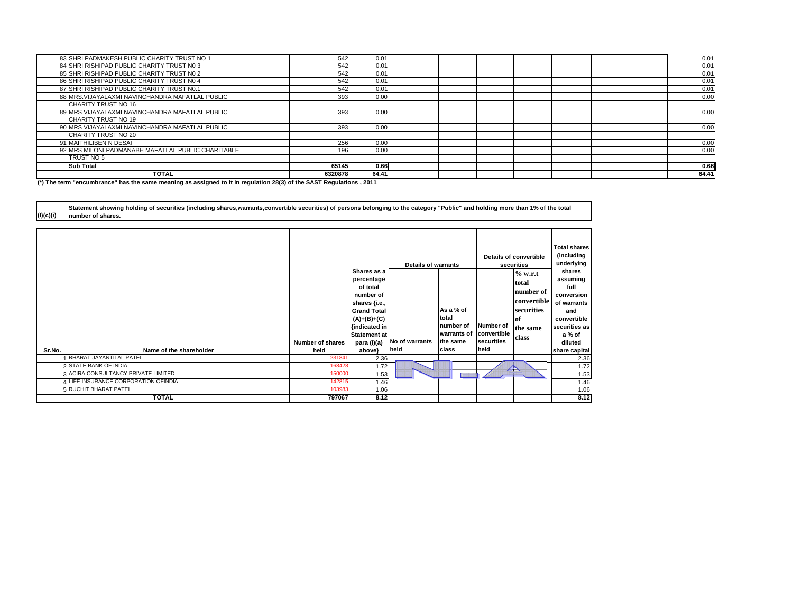| 83 SHRI PADMAKESH PUBLIC CHARITY TRUST NO 1        | 542     | 0.01  |  |  |  | 0.01  |
|----------------------------------------------------|---------|-------|--|--|--|-------|
| 84 SHRI RISHIPAD PUBLIC CHARITY TRUST NO 3         | 542     | 0.01  |  |  |  | 0.01  |
| 85 SHRI RISHIPAD PUBLIC CHARITY TRUST NO 2         | 542     | 0.01  |  |  |  | 0.01  |
| 86 SHRI RISHIPAD PUBLIC CHARITY TRUST NO 4         | 542     | 0.01  |  |  |  | 0.01  |
| 87 SHRI RISHIPAD PUBLIC CHARITY TRUST N0.1         | 542     | 0.01  |  |  |  | 0.01  |
| 88 MRS. VIJAYALAXMI NAVINCHANDRA MAFATLAL PUBLIC   | 393     | 0.00  |  |  |  | 0.00  |
| CHARITY TRUST NO 16                                |         |       |  |  |  |       |
| 89 MRS VIJAYALAXMI NAVINCHANDRA MAFATLAL PUBLIC    | 393     | 0.00  |  |  |  | 0.00  |
| CHARITY TRUST NO 19                                |         |       |  |  |  |       |
| 90 MRS VIJAYALAXMI NAVINCHANDRA MAFATLAL PUBLIC    | 393     | 0.00  |  |  |  | 0.00  |
| CHARITY TRUST NO 20                                |         |       |  |  |  |       |
| 91 MAITHILIBEN N DESAI                             | 256     | 0.00  |  |  |  | 0.00  |
| 92 MRS MILONI PADMANABH MAFATLAL PUBLIC CHARITABLE | 196     | 0.00  |  |  |  | 0.00  |
| TRUST NO 5                                         |         |       |  |  |  |       |
| <b>Sub Total</b>                                   | 65145   | 0.66  |  |  |  | 0.66  |
| <b>TOTAL</b>                                       | 6320878 | 64.41 |  |  |  | 64.41 |

**(\*) The term "encumbrance" has the same meaning as assigned to it in regulation 28(3) of the SAST Regulations , 2011**

**(I)(c)(i) Statement showing holding of securities (including shares,warrants,convertible securities) of persons belonging to the category "Public" and holding more than 1% of the total number of shares.**

| Sr.No. | Name of the shareholder                  | <b>Number of shares</b><br>held | Shares as a<br>percentage<br>of total<br>number of<br>shares {i.e.,<br><b>Grand Total</b><br>$(A)+(B)+(C)$<br>{indicated in<br><b>Statement at</b><br>para (I)(a)<br>above} | <b>Details of warrants</b><br>No of warrants<br>held | As a % of<br>total<br>number of<br>warrants of<br>the same<br>class | Number of<br>convertible<br>securities<br>held | Details of convertible<br>securities<br>% w.r.t.<br>total<br>number of<br>convertible<br>securities<br> of<br>the same<br>class | <b>Total shares</b><br>(including<br>underlying<br>shares<br>assuming<br>full<br>conversion<br>of warrants<br>and<br>convertible<br>securities as<br>a % of<br>diluted<br>share capital |
|--------|------------------------------------------|---------------------------------|-----------------------------------------------------------------------------------------------------------------------------------------------------------------------------|------------------------------------------------------|---------------------------------------------------------------------|------------------------------------------------|---------------------------------------------------------------------------------------------------------------------------------|-----------------------------------------------------------------------------------------------------------------------------------------------------------------------------------------|
|        | <b>BHARAT JAYANTILAL PATEL</b>           | 231841                          | 2.36                                                                                                                                                                        |                                                      |                                                                     |                                                |                                                                                                                                 | 2.36                                                                                                                                                                                    |
|        | 2 STATE BANK OF INDIA                    | 168428                          | 1.72                                                                                                                                                                        |                                                      |                                                                     |                                                | $\overline{\triangle}$                                                                                                          | 1.72                                                                                                                                                                                    |
|        | <b>ACIRA CONSULTANCY PRIVATE LIMITED</b> | 150000                          | 1.53                                                                                                                                                                        |                                                      |                                                                     |                                                |                                                                                                                                 | 1.53                                                                                                                                                                                    |
|        | 4 LIFE INSURANCE CORPORATION OFINDIA     | 142815                          | 1.46                                                                                                                                                                        |                                                      |                                                                     |                                                |                                                                                                                                 | 1.46                                                                                                                                                                                    |
|        | <b>5 RUCHIT BHARAT PATEL</b>             | 103983                          | 1.06                                                                                                                                                                        |                                                      |                                                                     |                                                |                                                                                                                                 | 1.06                                                                                                                                                                                    |
|        | <b>TOTAL</b>                             | 797067                          | 8.12                                                                                                                                                                        |                                                      |                                                                     |                                                |                                                                                                                                 | 8.12                                                                                                                                                                                    |